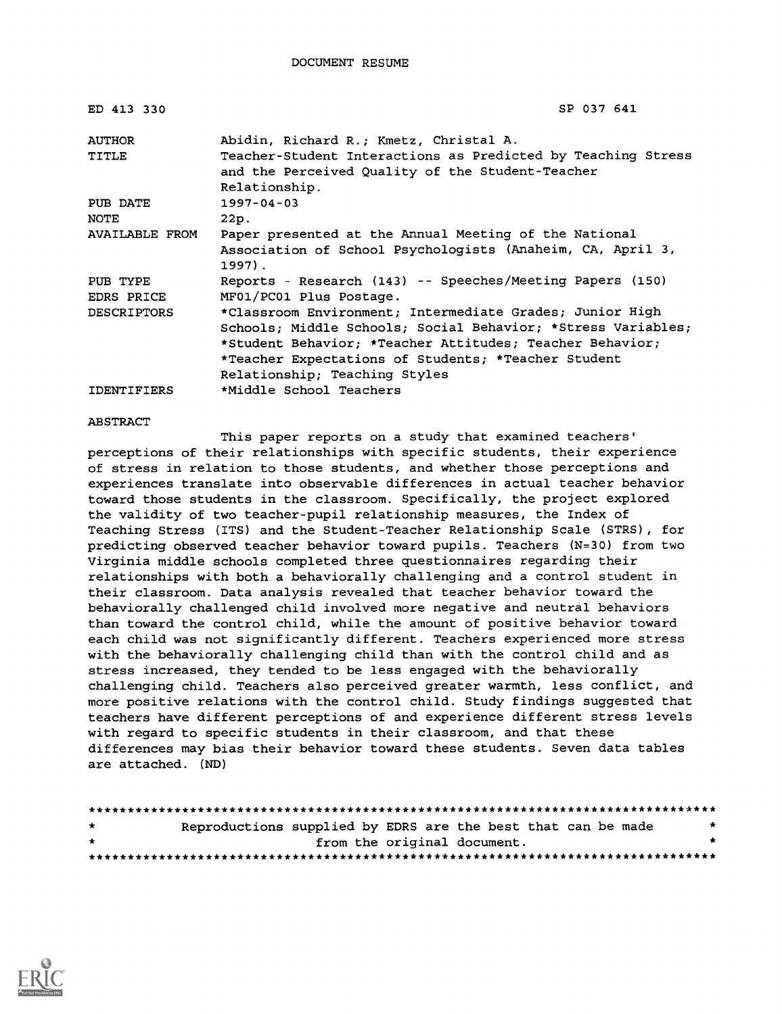| ED 413 330             | SP 037 641                                                                                                                                                                                                                                                                   |
|------------------------|------------------------------------------------------------------------------------------------------------------------------------------------------------------------------------------------------------------------------------------------------------------------------|
| <b>AUTHOR</b>          | Abidin, Richard R.; Kmetz, Christal A.                                                                                                                                                                                                                                       |
| TITLE                  | Teacher-Student Interactions as Predicted by Teaching Stress<br>and the Perceived Quality of the Student-Teacher<br>Relationship.                                                                                                                                            |
| PUB DATE               | $1997 - 04 - 03$                                                                                                                                                                                                                                                             |
| NOTE                   | 22p.                                                                                                                                                                                                                                                                         |
| <b>AVAILABLE FROM</b>  | Paper presented at the Annual Meeting of the National<br>Association of School Psychologists (Anaheim, CA, April 3,<br>$1997$ .                                                                                                                                              |
| PUB TYPE<br>EDRS PRICE | Reports - Research (143) -- Speeches/Meeting Papers (150)<br>MF01/PC01 Plus Postage.                                                                                                                                                                                         |
| <b>DESCRIPTORS</b>     | *Classroom Environment; Intermediate Grades; Junior High<br>Schools; Middle Schools; Social Behavior; *Stress Variables;<br>*Student Behavior; *Teacher Attitudes; Teacher Behavior;<br>*Teacher Expectations of Students; *Teacher Student<br>Relationship; Teaching Styles |
| <b>IDENTIFIERS</b>     | *Middle School Teachers                                                                                                                                                                                                                                                      |

### ABSTRACT

This paper reports on a study that examined teachers' perceptions of their relationships with specific students, their experience of stress in relation to those students, and whether those perceptions and experiences translate into observable differences in actual teacher behavior toward those students in the classroom. Specifically, the project explored the validity of two teacher-pupil relationship measures, the Index of Teaching Stress (ITS) and the Student-Teacher Relationship Scale (STRS), for predicting observed teacher behavior toward pupils. Teachers (N=30) from two Virginia middle schools completed three questionnaires regarding their relationships with both a behaviorally challenging and a control student in their classroom. Data analysis revealed that teacher behavior toward the behaviorally challenged child involved more negative and neutral behaviors than toward the control child, while the amount of positive behavior toward each child was not significantly different. Teachers experienced more stress with the behaviorally challenging child than with the control child and as stress increased, they tended to be less engaged with the behaviorally challenging child. Teachers also perceived greater warmth, less conflict, and more positive relations with the control child. Study findings suggested that teachers have different perceptions of and experience different stress levels with regard to specific students in their classroom, and that these differences may bias their behavior toward these students. Seven data tables are attached. (ND)

| $\rightarrow$ | Reproductions supplied by EDRS are the best that can be made |                             |  |  | $\star$ |
|---------------|--------------------------------------------------------------|-----------------------------|--|--|---------|
| $\rightarrow$ |                                                              | from the original document. |  |  |         |
|               |                                                              |                             |  |  |         |

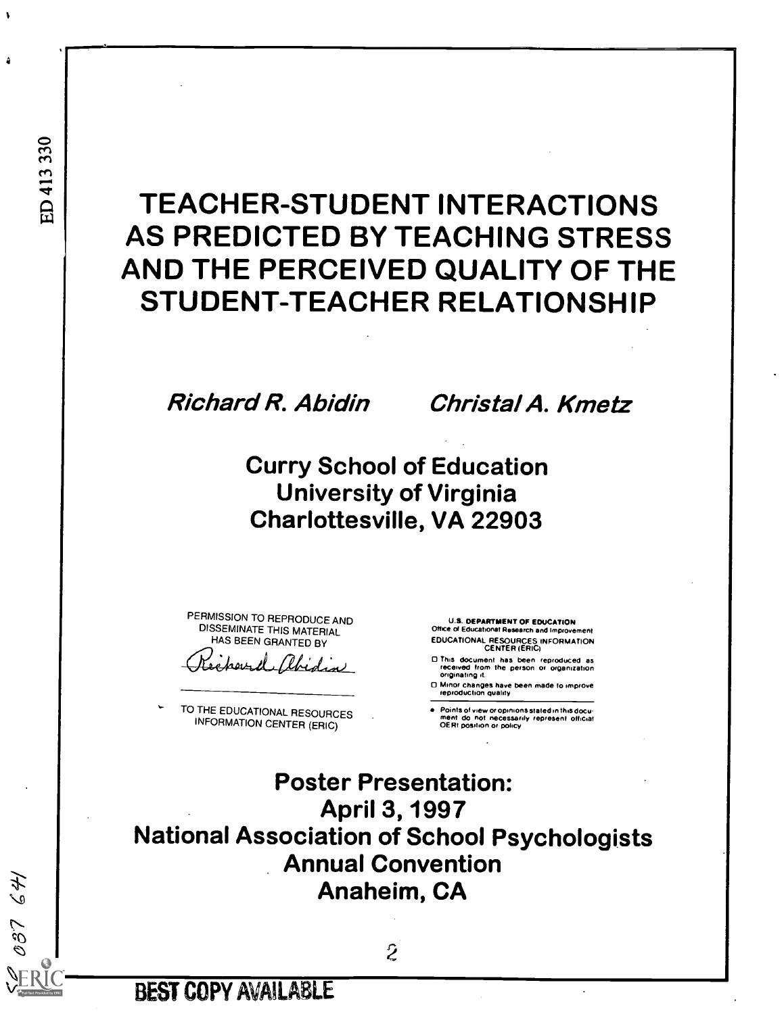# TEACHER-STUDENT INTERACTIONS AS PREDICTED BY TEACHING STRESS AND THE PERCEIVED QUALITY OF THE STUDENT-TEACHER RELATIONSHIP

Richard R. Abidin Christal A. Kmetz

Curry School of Education University of Virginia Charlottesville, VA 22903

PERMISSION TO REPRODUCE AND U.S. DEPARTMENT OF EDUCATION DISSEMINATE THIS MATERIAL OF EQUEL Office of Educational Research and Improvement<br>HAS BEEN GRANTED RY EDUCATIONAL RESOURCES INFORMATION

TO THE EDUCATIONAL RESOURCES INFORMATION CENTER (ERIC)

HAS BEEN GRANTED BY FEDUCATIONAL RESOURCES INFORMATION CENTER (ERIC)

- This document has been reproduced as received from the person or organization originating it.
- □ Minor changes have been made to improve<br>reproduction quality

Points of view or opinions stated in this document do not necessarily represent official OERI position or policy

Poster Presentation: April 3, 1997 National Association of School Psychologists Annual Convention Anaheim, CA

**AA** 

تى<br>ك

ti

À

BEST COPY AVAILABLE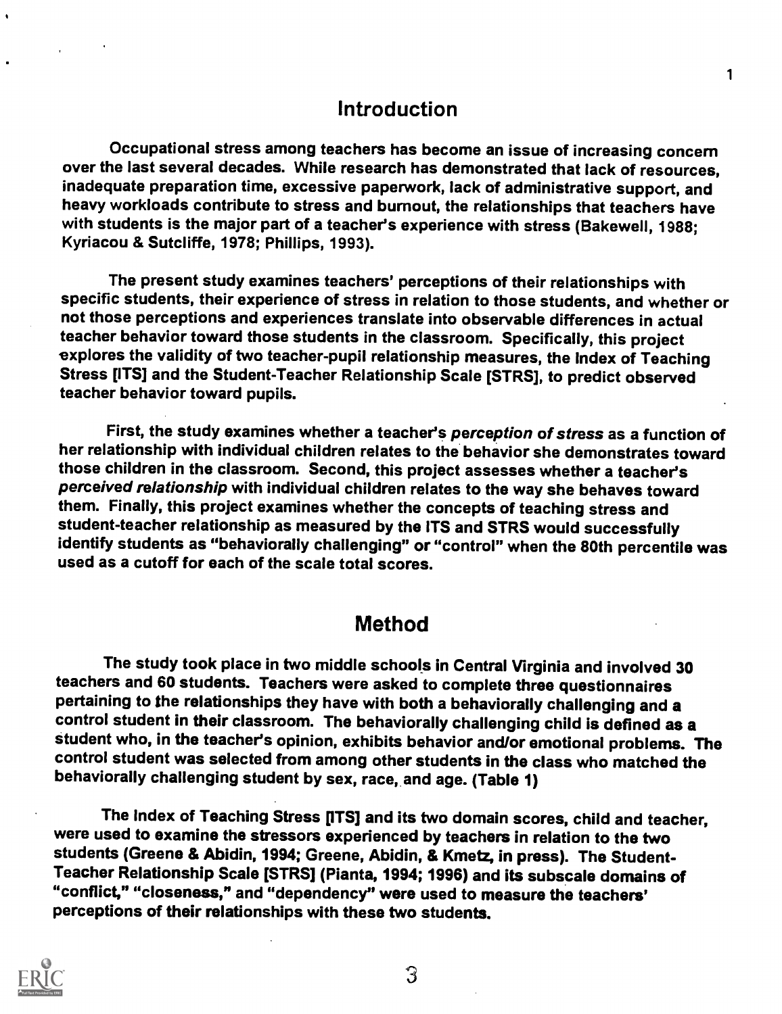## Introduction

Occupational stress among teachers has become an issue of increasing concern over the last several decades. While research has demonstrated that lack of resources, inadequate preparation time, excessive paperwork, lack of administrative support, and heavy workloads contribute to stress and burnout, the relationships that teachers have with students is the major part of a teacher's experience with stress (Bakewell, 1988; Kyriacou & Sutcliffe, 1978; Phillips, 1993).

The present study examines teachers' perceptions of their relationships with specific students, their experience of stress in relation to those students, and whether or not those perceptions and experiences translate into observable differences in actual teacher behavior toward those students in the classroom. Specifically, this project explores the validity of two teacher-pupil relationship measures, the Index of Teaching Stress [ITS] and the Student-Teacher Relationship Scale [STRS], to predict observed teacher behavior toward pupils.

First, the study examines whether a teacher's perception of stress as a function of her relationship with individual children relates to the behavior she demonstrates toward those children in the classroom. Second, this project assesses whether a teacher's perceived relationship with individual children relates to the way she behaves toward them. Finally, this project examines whether the concepts of teaching stress and student-teacher relationship as measured by the ITS and STRS would successfully identify students as "behaviorally challenging" or "control" when the 80th percentile was<br>used as a cutoff for each of the scale total scores.

## **Method**

The study took place in two middle schools in Central Virginia and involved 30 teachers and 60 students. Teachers were asked to complete three questionnaires pertaining to the relationships they have with both a behaviorally challenging and a control student in their classroom. The behaviorally challenging child is defined as a student who, in the teacher's opinion, exhibits behavior and/or emotional problems. The control student was selected from among other students in the class who matched the behaviorally challenging student by sex, race, and age. (Table 1)

The Index of Teaching Stress [ITS] and its two domain scores, child and teacher, were used to examine the stressors experienced by teachers in relation to the two students (Greene & Abidin, 1994; Greene, Abidin, & Kmetz, in press). The Student-Teacher Relationship Scale [STRS] (Pianta, 1994; 1996) and its subscale domains of "conflict," "closeness," and "dependency" were used to measure the teachers' perceptions of their relationships with these two students.

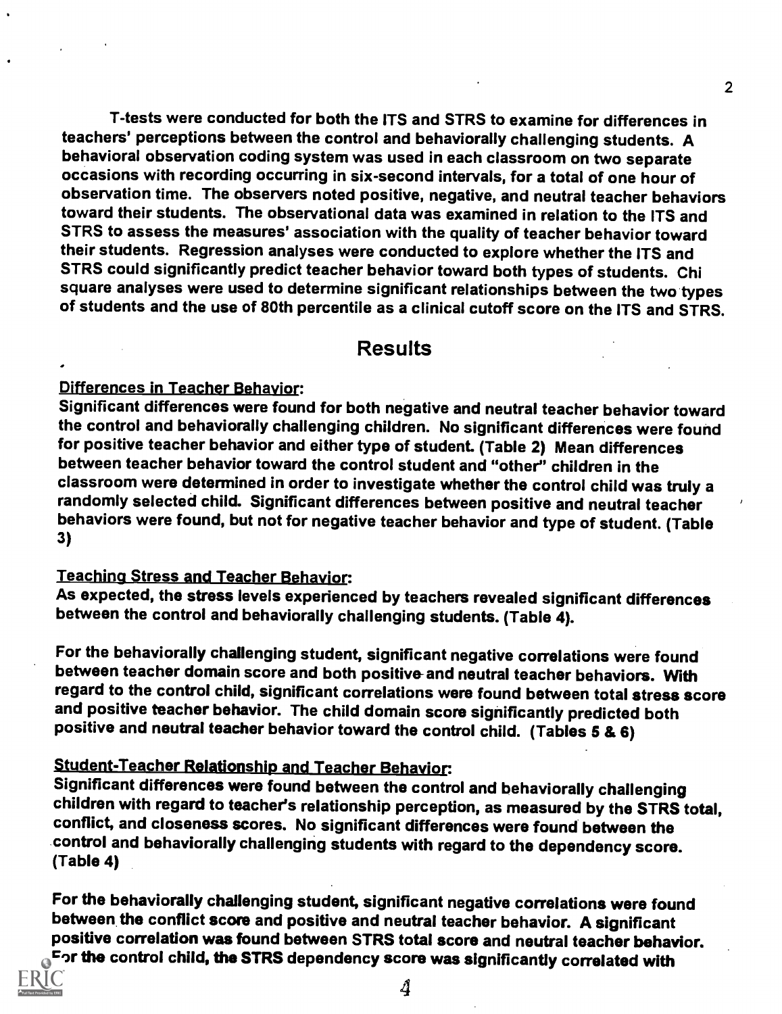T-tests were conducted for both the ITS and STRS to examine for differences in teachers' perceptions between the control and behaviorally challenging students. A behavioral observation coding system was used in each classroom on two separate occasions with recording occurring in six-second intervals, for a total of one hour of observation time. The observers noted positive, negative, and neutral teacher behaviors toward their students. The observational data was examined in relation to the ITS and SIRS to assess the measures' association with the quality of teacher behavior toward their students. Regression analyses were conducted to explore whether the ITS and STRS could significantly predict teacher behavior toward both types of students. Chi square analyses were used to determine significant relationships between the two types of students and the use of 80th percentile as a clinical cutoff score on the ITS and STRS.

## Results

### Differences in Teacher Behavior:

Significant differences were found for both negative and neutral teacher behavior toward the control and behaviorally challenging children. No significant differences were found for positive teacher behavior and either type of student. (Table 2) Mean differences between teacher behavior toward the control student and "other" children in the classroom were determined in order to investigate whether the control child was truly a randomly selected child. Significant differences between positive and neutral teacher behaviors were found, but not for negative teacher behavior and type of student. (Table 3)

### Teaching Stress and Teacher Behavior:

As expected, the stress levels experienced by teachers revealed significant differences between the control and behaviorally challenging students. (Table 4).

For the behaviorally challenging student, significant negative correlations were found between teacher domain score and both positive-and neutral teacher behaviors. With regard to the control child, significant correlations were found between total stress score and positive teacher behavior. The child domain score significantly predicted both positive and neutral teacher behavior toward the control child. (Tables 5 & 6)

## Student-Teacher Relationship and Teacher Behavior.

Significant differences were found between the control and behaviorally challenging conflict, and closeness scores. No significant differences were found between the control and behaviorally challenging students with regard to the dependency score. (Table 4)

For the behaviorally challenging student, significant negative correlations were found<br>between the conflict score and positive and neutral teacher behavior. A significant positive correlation was found between STRS total score and neutral teacher behavior. For the control child, the STRS dependency score was significantly correlated with  $\,$ 

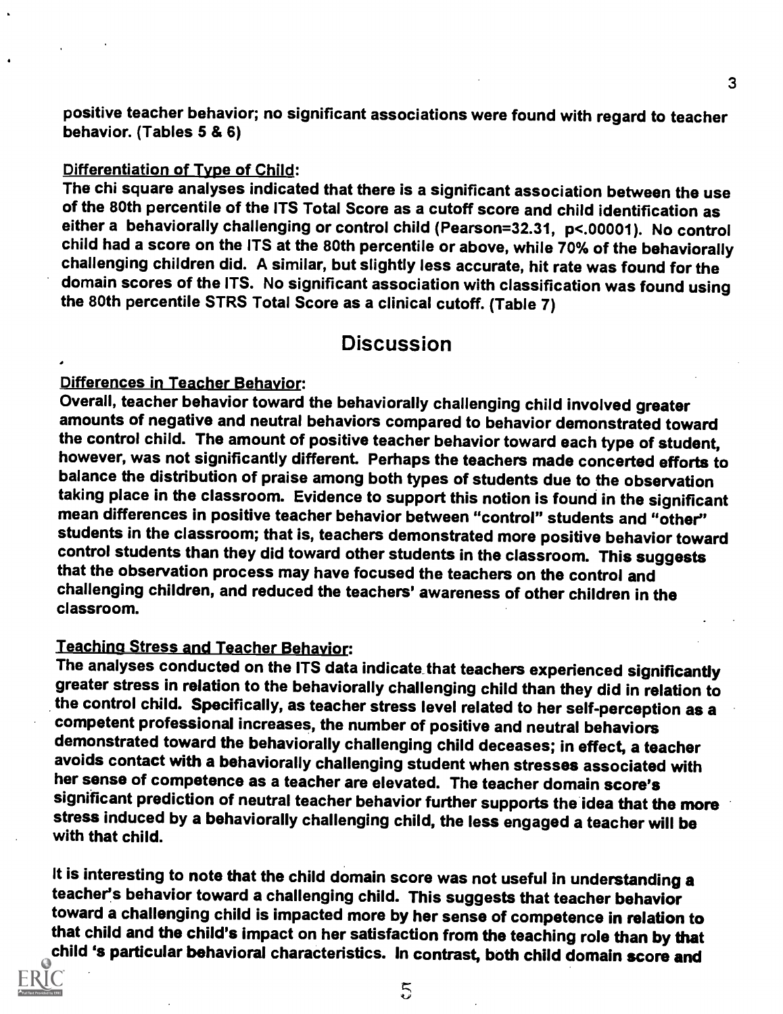positive teacher behavior; no significant associations were found with regard to teacher<br>behavior. (Tables 5 & 6)

### Differentiation of Type of Child:

The chi square analyses indicated that there is a significant association between the use of the 80th percentile of the ITS Total Score as a cutoff score and child identification as either a behaviorally challenging or control child (Pearson=32.31, p<.00001). No control child had a score on the ITS at the 80th percentile or above, while 70% of the behaviorally challenging children did. A similar, but slightly less accurate, hit rate was found for the domain scores of the ITS. No significant association with classification was found using the 80th percentile STRS Total Score as a clinical cutoff. (Table 7)

## Discussion

<u>Differences in Teacher Behavior</u>:<br>Overall, teacher behavior toward the behaviorally challenging child involved greater amounts of negative and neutral behaviors compared to behavior demonstrated toward<br>the control child. The amount of positive teacher behavior toward each type of student, however, was not significantly different. Perhaps the teachers made concerted efforts to balance the distribution of praise among both types of students due to the observation mean differences in positive teacher behavior between "control" students and "other" students in the classroom; that is, teachers demonstrated more positive behavior toward control students than they did toward other students in the classroom. This suggests that the observation process may have focused the teachers on the control and challenging children, and reduced the teachers' awareness of other children in the classroom.

<u>Teaching Stress and Teacher Behavior</u>:<br>The analyses conducted on the ITS data indicate that teachers experienced significantly greater stress in relation to the behaviorally challenging child than they did in relation to the control child. Specifically, as teacher stress level related to her self-perception as a demonstrated toward the behaviorally challenging child deceases; in effect, a teacher<br>avoids contact with a behaviorally challenging student when stresses associated with her sense of competence as a teacher are elevated. The teacher domain score's significant prediction of neutral teacher behavior further supports the idea that the more stress induced by a behaviorally challenging child, the less engaged a teacher will be with that child.

It is interesting to note that the child domain score was not useful in understanding a teacher's behavior toward a challenging child. This suggests that teacher behavior toward a challenging child is impacted more by her sense of competence in relation to child 's particular behavioral characteristics. In contrast, both child domain score and

 $\overline{5}$ 

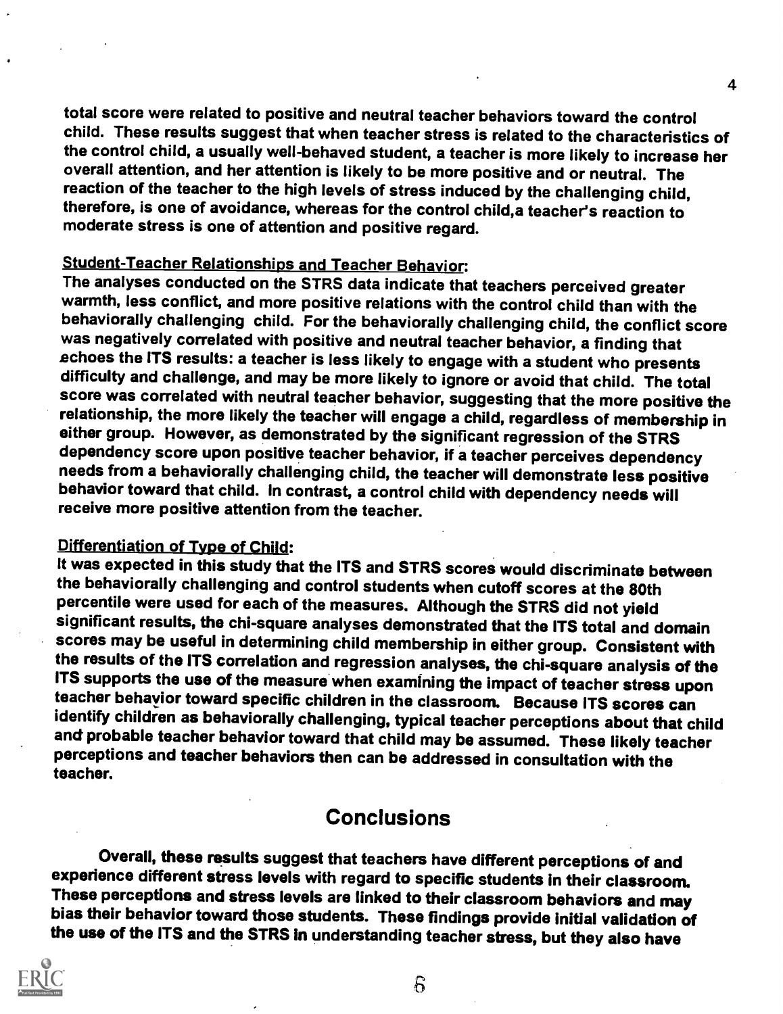total score were related to positive and neutral teacher behaviors toward the control child. These results suggest that when teacher stress is related to the characteristics of the control child, a usually well-behaved student, a teacher is more likely to increase her overall attention, and her attention is likely to be more positive and or neutral. The reaction of the teacher to the high levels of stress induced by the challenging child, therefore, is one of avoidance, whereas for the control child,a teacher's reaction to moderate stress is one of attention and positive regard.

Student-Teacher Relationships and Teacher Behavior:<br>The analyses conducted on the STRS data indicate that teachers perceived greater warmth, less conflict, and more positive relations with the control child than with the behaviorally challenging child. For the behaviorally challenging child, the conflict score echoes the ITS results: a teacher is less likely to engage with a student who presents<br>difficulty and challenge, and may be more likely to ignore or avoid that child. The total score was correlated with neutral teacher behavior, suggesting that the more positive the<br>relationship, the more likely the teacher will engage a child, regardless of membership in either group. However, as demonstrated by the significant regression of the STRS dependency score upon positive teacher behavior, if a teacher perceives dependency needs from a behaviorally challenging child, the teacher will demonstrate less positive behavior toward that child. In contrast, a control child with dependency needs will receive more positive attention from the teacher.

## Differentiation of Type of Child:

It was expected in this study that the ITS and STRS scores would discriminate between the behaviorally challenging and control students when cutoff scores at the 80th percentile were used for each of the measures. Although the STRS did not yield significant results, the chi-square analyses demonstrated that the ITS total and domain scores may be useful in determining child membership in either group. Consistent with the results of the ITS correlation and regression analyses, the chi-square analysis of the ITS supports the use of the measure when examining the impact of teacher stress upon teacher behavior toward specific children in the classroom. Because ITS scores can identify children as behaviorally challenging, typical teacher perceptions about that child and probable teacher behavior toward that child may be assumed. These likely teacher perceptions and teacher behaviors then can be addressed in consultation with the teacher.

## **Conclusions**

Overall, these results suggest that teachers have different perceptions of and experience different stress levels with regard to specific students in their classroom.<br>These perceptions and stress levels are linked to their classroom behaviors and may bias their behavior toward those students. These findings provide initial validation of the use of the ITS and the STRS in understanding teacher stress, but they also have

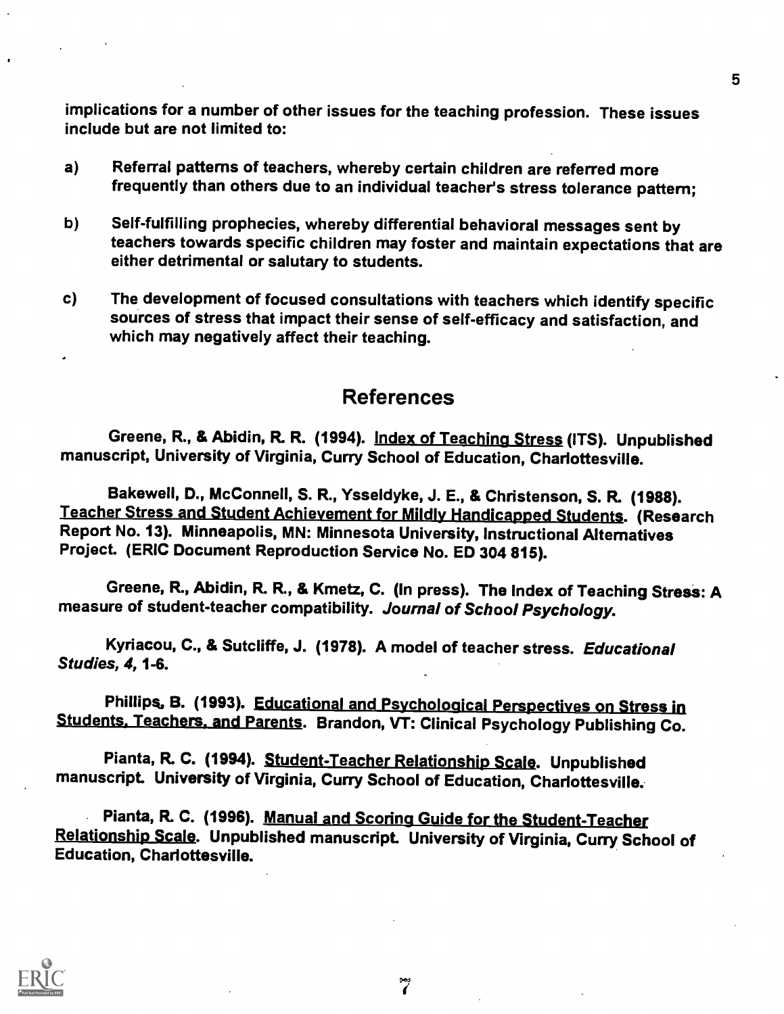implications for a number of other issues for the teaching profession. These issues include but are not limited to:

- a) Referral patterns of teachers, whereby certain children are referred more frequently than others due to an individual teacher's stress tolerance pattern;
- b) Self-fulfilling prophecies, whereby differential behavioral messages sent by teachers towards specific children may foster and maintain expectations that are either detrimental or salutary to students.
- c) The development of focused consultations with teachers which identify specific sources of stress that impact their sense of self-efficacy and satisfaction, and which may negatively affect their teaching.

## References

Greene, R., & Abidin, R. R. (1994). Index of Teaching Stress (ITS). Unpublished manuscript, University of Virginia, Curry School of Education, Charlottesville.

Bakewell, D., McConnell, S. R., Ysseldyke, J. E., & Christenson, S. R. (1988).<br>Teacher Stress and Student Achievement for Mildly Handicapped Students. (Research Report No. 13). Minneapolis, MN: Minnesota University, Instructional Alternatives Project. (ERIC Document Reproduction Service No. ED 304 815).

Greene, R., Abidin, R. R., & Kmetz, C. (In press). The Index of Teaching Stress: A measure of student-teacher compatibility. Journal of School Psychology.

Kyriacou, C., & Sutcliffe, J. (1978). A model of teacher stress. Educational Studies, 4, 1-6.

Phillips, B. (1993). Educational and Psychological Perspectives on Stress in Students. Teachers. and Parents. Brandon, VT: Clinical Psychology Publishing Co.

Pianta, R. C. (1994). Student-Teacher Relationship Scale. Unpublished manuscript. University of Virginia, Curry School of Education, Charlottesville.

Pianta, R. C. (1996). Manual and Scoring Guide for the Student-Teacher Relationship Scale. Unpublished manuscript. University of Virginia, Curry School of<br>Education, Charlottesville.



 $\tilde{\zeta}$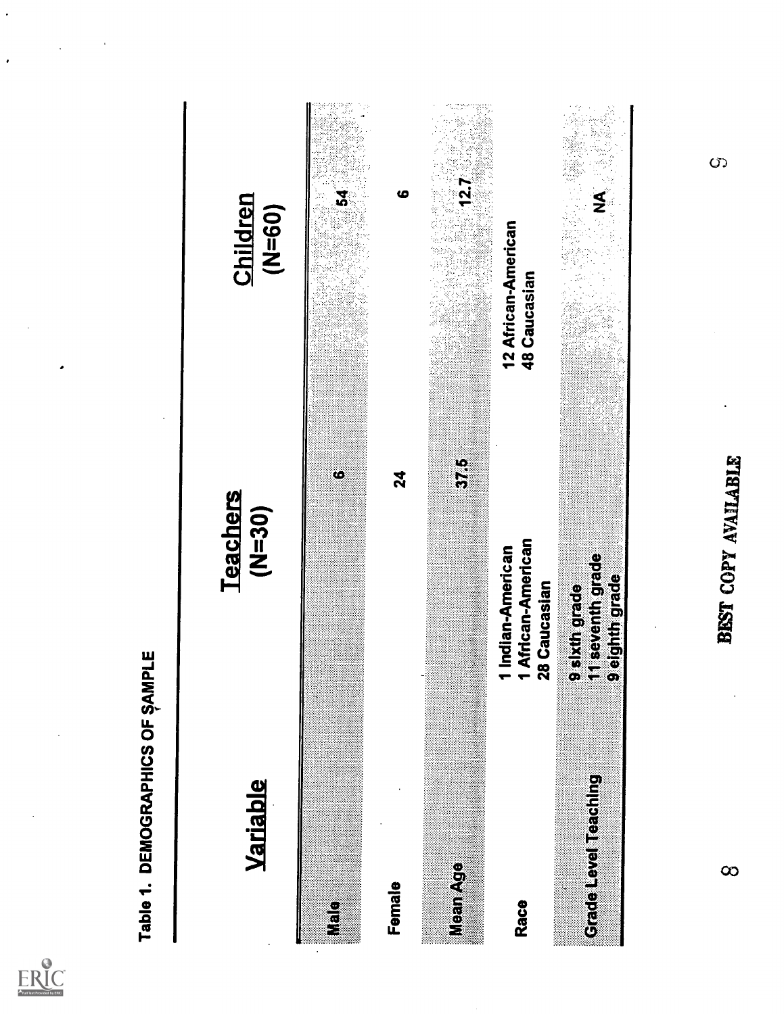

 $ER_{\underbrace{\text{C}}_{\text{A}}\text{C}}$ 

O)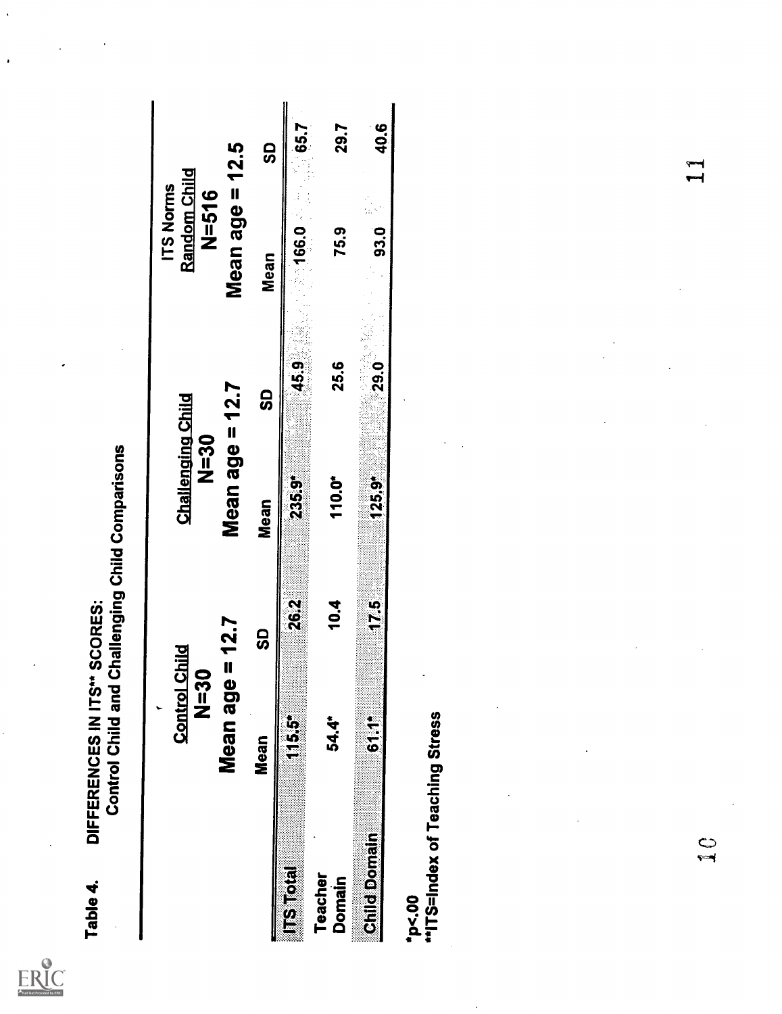ERIC

 $\cdot$ 

| Table 4.                 | DIFFERENCES IN ITS"<br>Control Child and | SCORES:       | <b>Challenging Child Comparisons</b>      |              |                                        |             |
|--------------------------|------------------------------------------|---------------|-------------------------------------------|--------------|----------------------------------------|-------------|
|                          | <b>Control Child</b><br>$20 - 20$        |               | <b>Challenging Child</b><br>O<br>Si<br>N= |              | Random Child<br>ITS Norms<br>$N = 516$ |             |
|                          | Mean age                                 | $= 12.7$      | Mean age $= 12.7$                         |              | Mean age $= 12.5$                      |             |
|                          | <b>Mean</b>                              | <u>ဌ</u>      | Mean                                      | <u>ဌ</u>     | Mean                                   | <u>င</u> ္ဘ |
| <b>ESTER</b>             | Ġ5<br>US                                 | <b>26.2</b>   | <b>235.9*</b>                             | 45.9         | 166.0                                  | 65.7        |
| Teacher<br><b>Domain</b> | 54.4*                                    | 10.4          | 110.0*                                    | 25.6         | 75.9                                   | 29.7        |
| <b>Child Domain</b>      | $\frac{1}{5}$                            | $\frac{5}{1}$ | $125.9^*$                                 | $29.0^\circ$ | 93.0                                   | 40.6        |
|                          | *p<.00<br>"*ITS=Index of Teaching Stress |               |                                           |              |                                        |             |
|                          |                                          |               |                                           |              |                                        |             |
|                          |                                          |               |                                           |              |                                        |             |
|                          |                                          |               |                                           |              |                                        |             |
|                          |                                          |               |                                           |              |                                        |             |
|                          |                                          |               |                                           |              |                                        |             |
|                          |                                          |               |                                           |              |                                        |             |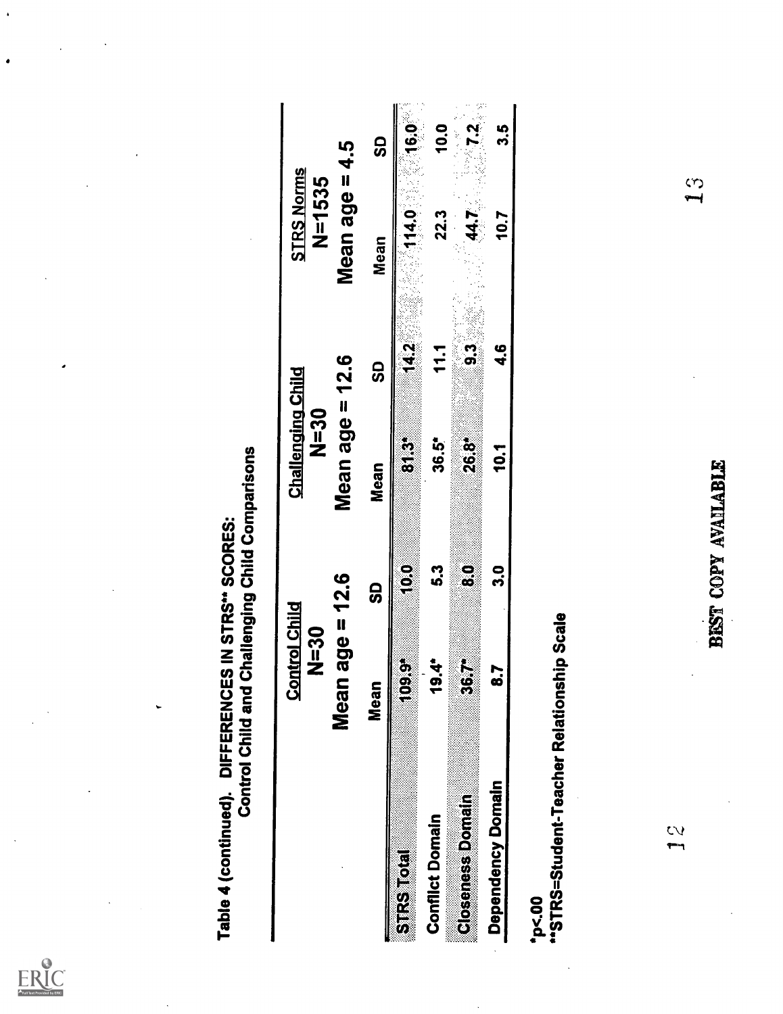ERIC

|                                                    | <b>Control Child and Challenging Child Comparisons</b> |                     |                                            |                |                             |                 |
|----------------------------------------------------|--------------------------------------------------------|---------------------|--------------------------------------------|----------------|-----------------------------|-----------------|
|                                                    | <b>Control Child</b><br>OS<br>INL                      |                     | <b>Challenging Child</b><br>$\frac{50}{2}$ |                | <b>STRS Norms</b><br>N=1535 |                 |
|                                                    | Mean age $= 12.6$                                      |                     | Mean age = $12.6$                          |                | Mean age $= 4.5$            |                 |
|                                                    | Mean                                                   | <u>ဌ</u>            | Mean                                       | <u>င</u> ္ဘ    | Mean                        | င္တ             |
| <b>STRS Total</b>                                  | ĝ<br>B<br>$\overline{\phantom{a}}$                     | Ş                   | S<br>S                                     | 14.2           | 14.0                        | $\frac{6.0}{1}$ |
| <b>Conflict Domain</b>                             | 19.4*                                                  | 5.3                 | 36.5*                                      | 111            | 22.3                        | 10.0            |
| Closeness Domain                                   | 367*                                                   | $\mathbf{e}$        | $26.8^{\circ}$                             | 3 <sub>3</sub> | 44.7                        | 25/12           |
| Dependency Domain                                  | 8.7                                                    | 30                  | 10.1                                       | e<br>4         | 10.7                        | <u>ဟု</u><br>က  |
| "STRS=Student-Teacher Relationship Scale<br>°P<.00 |                                                        |                     |                                            |                |                             |                 |
| $\frac{2}{3}$                                      |                                                        |                     |                                            |                |                             |                 |
|                                                    |                                                        | BEST COPY AVAILABLE |                                            |                | رس<br>پ                     |                 |
|                                                    |                                                        |                     |                                            |                |                             |                 |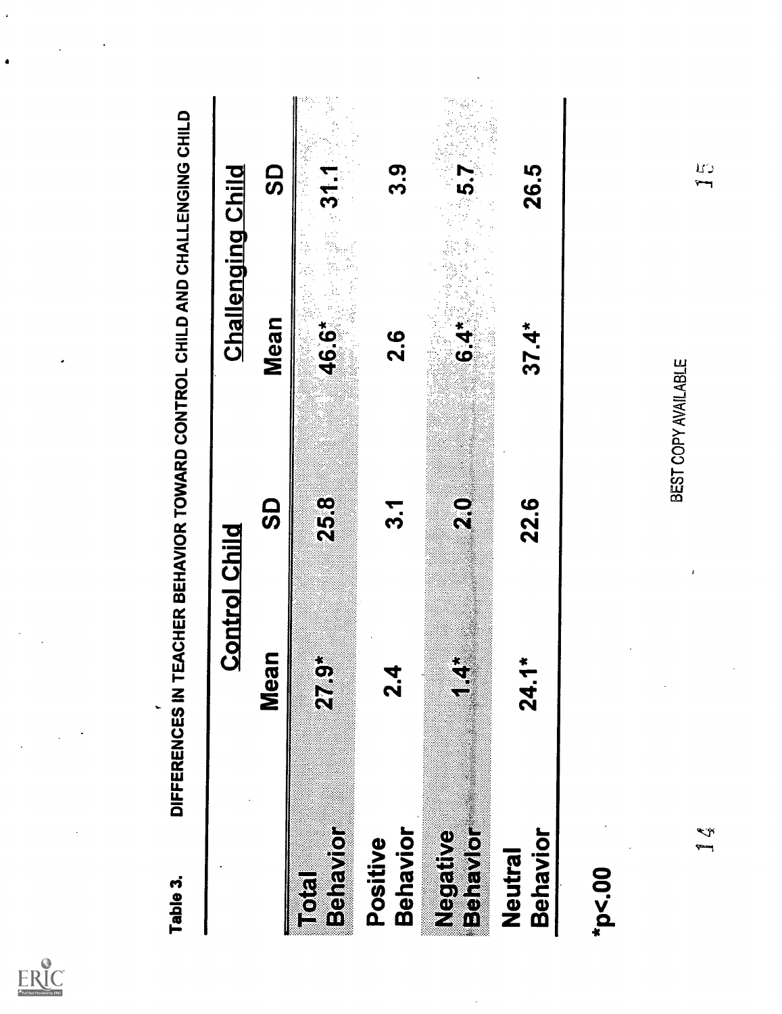

 $ER_{\underbrace{\text{C}}_{\text{A}}\text{C}}$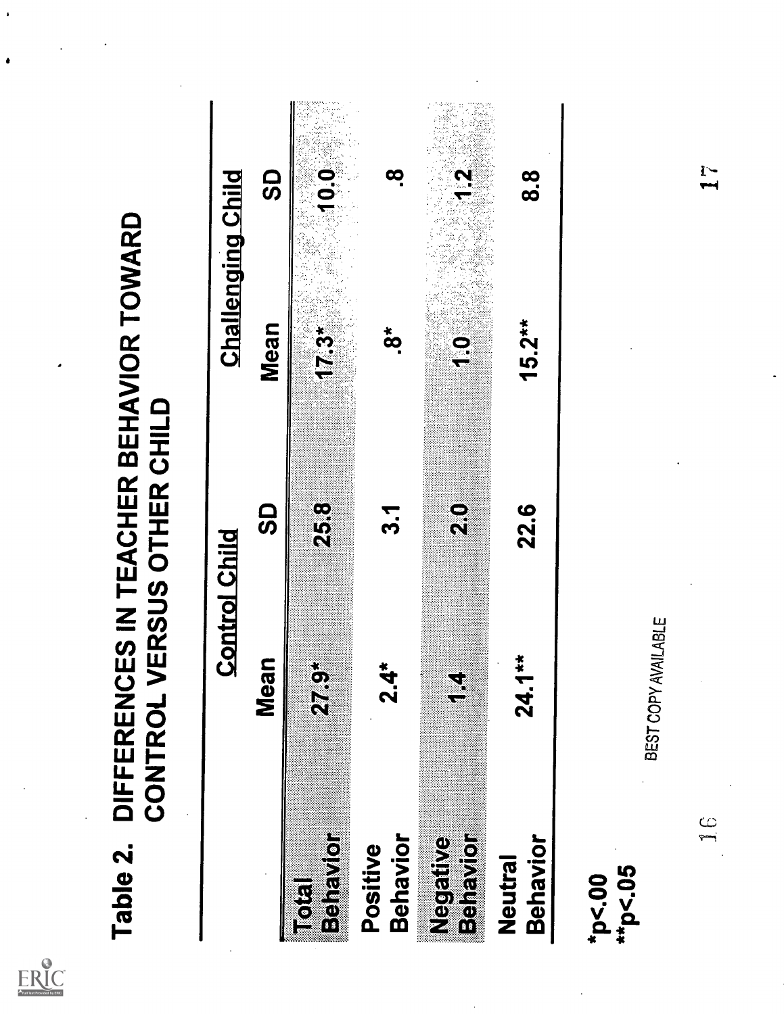| Full Text Provided by ERIC |
|----------------------------|

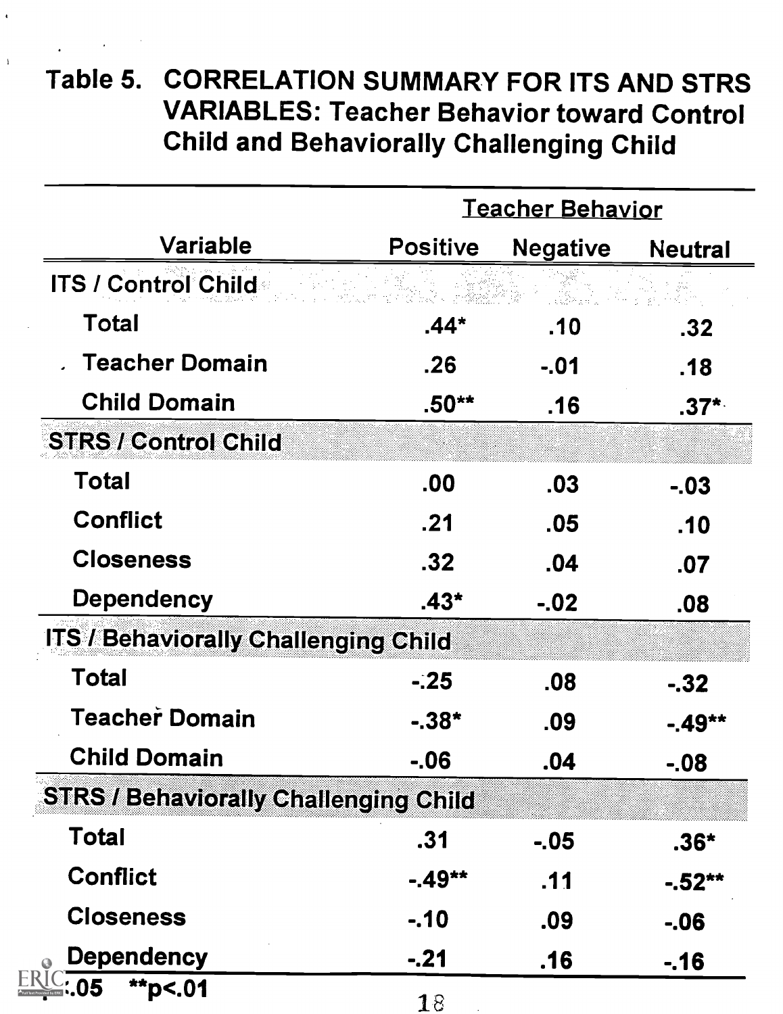# Table 5. CORRELATION SUMMARY FOR ITS AND STRS VARIABLES: Teacher Behavior toward Control Child and Behaviorally Challenging Child

 $\bar{1}$ 

|                                              |                 | <b>Teacher Behavior</b>         |                  |
|----------------------------------------------|-----------------|---------------------------------|------------------|
| Variable                                     | <b>Positive</b> | <b>Negative</b>                 | <b>Neutral</b>   |
| ITS / Control Child                          |                 | 그래서 1000 - 2000<br>대화를 보이는 것이다. |                  |
| Total                                        | .44*            | .10                             | .32 <sub>1</sub> |
| <b>Teacher Domain</b>                        | .26.            | $-.01$                          | .18              |
| <b>Child Domain</b>                          | .50**           | .16                             | $.37^{\star}$    |
| <b>STRS / Control Child</b>                  |                 |                                 |                  |
| Total                                        | .00             | .03                             | $-.03$           |
| <b>Conflict</b>                              | .21             | .05                             | .10              |
| <b>Closeness</b>                             | .32             | .04                             | .07              |
| <b>Dependency</b>                            | .43*            | $-.02$                          | .08              |
| <b>ITS / Behaviorally Challenging Child</b>  |                 |                                 |                  |
| Total                                        | $-25$           | .08                             | $-32$            |
| <b>Teacher Domain</b>                        | $-0.38*$        | .09                             | -.49**           |
| <b>Child Domain</b>                          | $-06$           | .04                             | $-08$            |
| <b>STRS / Behaviorally Challenging Child</b> |                 |                                 |                  |
| Total                                        | .31             | $-0.05$                         | $.36*$           |
| <b>Conflict</b>                              | $-49**$         | .11                             | $-.52**$         |
| <b>Closeness</b>                             | $-.10$          | .09                             | $-06$            |
| <b>Dependency</b>                            | $-.21$          | .16                             | $-16$            |
| **p<.01<br>05                                | 18              |                                 |                  |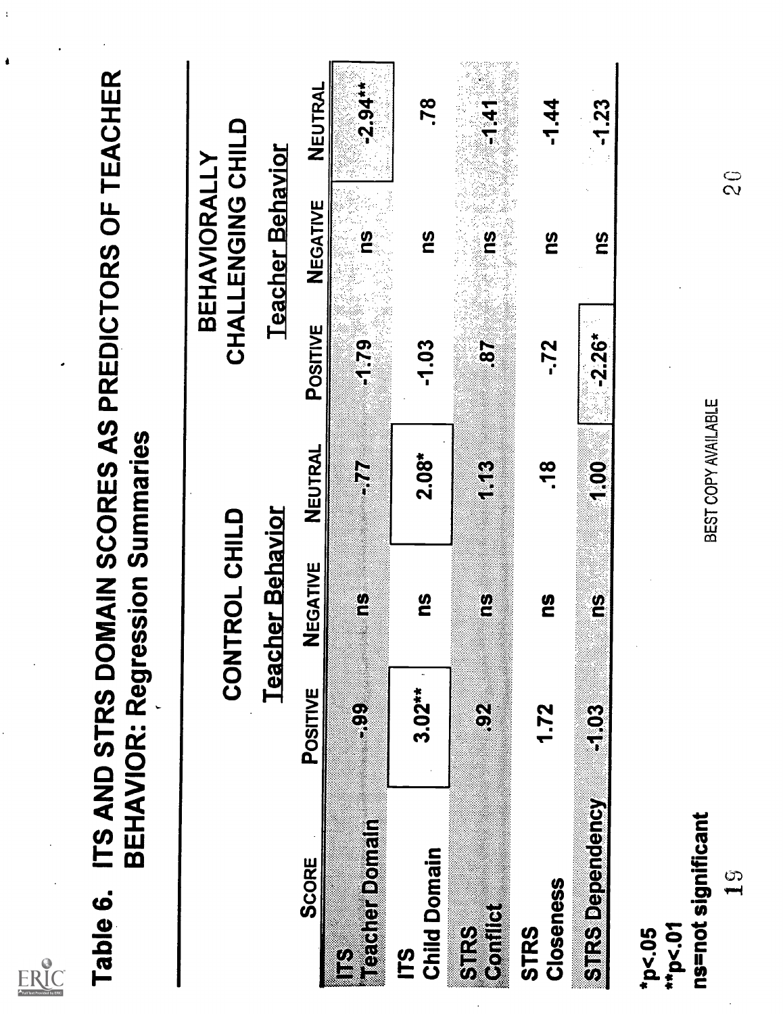| Table 6.                                         | ITS AND STRS DOMAIN SCORES AS PREDICTORS OF TEACHER<br><b>BEHAVIOR: Regression Summaries</b> |                         |                     |              |                                   |               |
|--------------------------------------------------|----------------------------------------------------------------------------------------------|-------------------------|---------------------|--------------|-----------------------------------|---------------|
|                                                  |                                                                                              | CONTROL CHILD           |                     |              | CHALLENGING CHILD<br>BEHAVIORALLY |               |
|                                                  |                                                                                              | <b>Teacher Behavior</b> |                     |              | <b>Teacher Behavior</b>           |               |
| SCORE                                            | POSITIVE                                                                                     | EGATIVE<br>Z            | <b>NEUTRAL</b>      | POSITIVE     | NEGATIVE                          | NEUTRAL       |
| Teacher Domain<br>2                              | $\frac{1}{2}$                                                                                | g                       | F.                  | -1.79        | <u>က</u>                          | $-2.94$       |
| <b>Child Domain</b><br>(CT)                      | $3.02***$                                                                                    | <u>()</u>               | $2.08*$             | $-1.03$      | <u>91</u>                         | .78           |
| <b>Billis</b><br>Salis<br>$\frac{\omega}{5}$     | $\mathbb{S}$                                                                                 | <u>ග</u>                | $\mathbf{S}$        | $\mathbf{g}$ | <u><b>SU</b></u>                  | $-141$        |
| Closeness<br><b>STRS</b>                         | 1.72                                                                                         | <u>(</u>                | .18                 | -.72         | <u><b>SU</b></u>                  | $-1.44$       |
| <b>STRS Dependency</b>                           | $\frac{3}{5}$                                                                                | $\frac{3}{2}$           | $\frac{1}{2}$       | $-2.26*$     | <b>SU</b>                         | $-1.23$       |
| ns=not significant<br>9<br>$*_{p<.01}$<br>*p<.05 |                                                                                              |                         | BEST COPY AVAILABLE |              |                                   | $\frac{0}{2}$ |

 $\frac{1}{\sqrt{2}}$ 

 $\frac{1}{2}$ 

 $\bullet$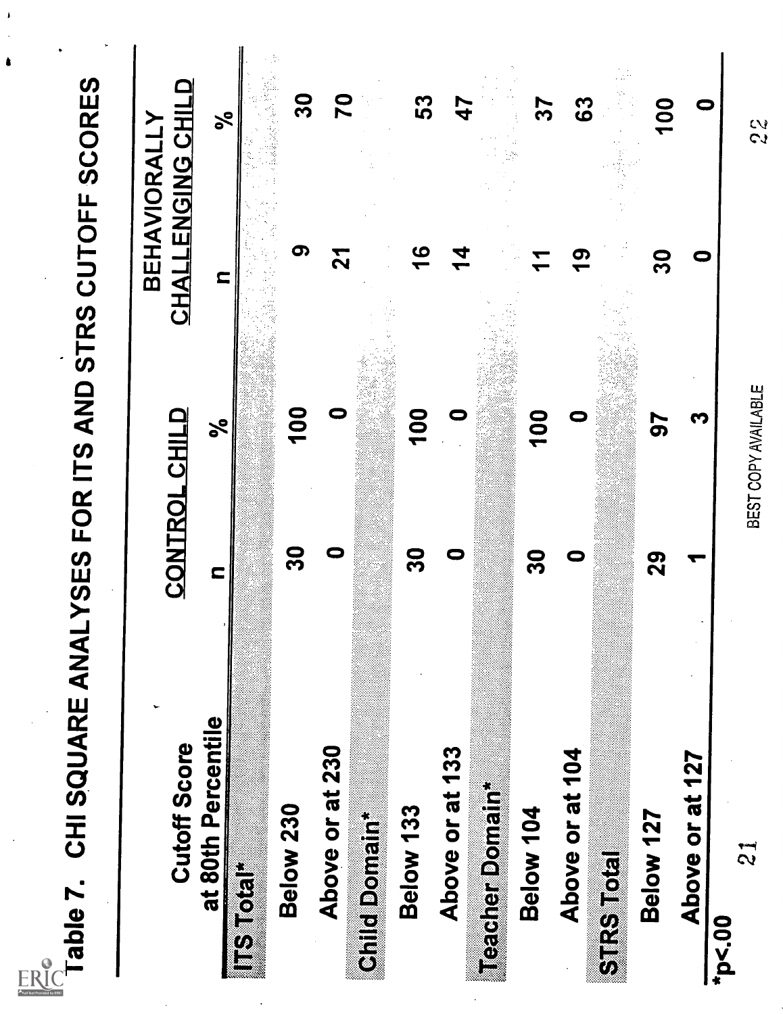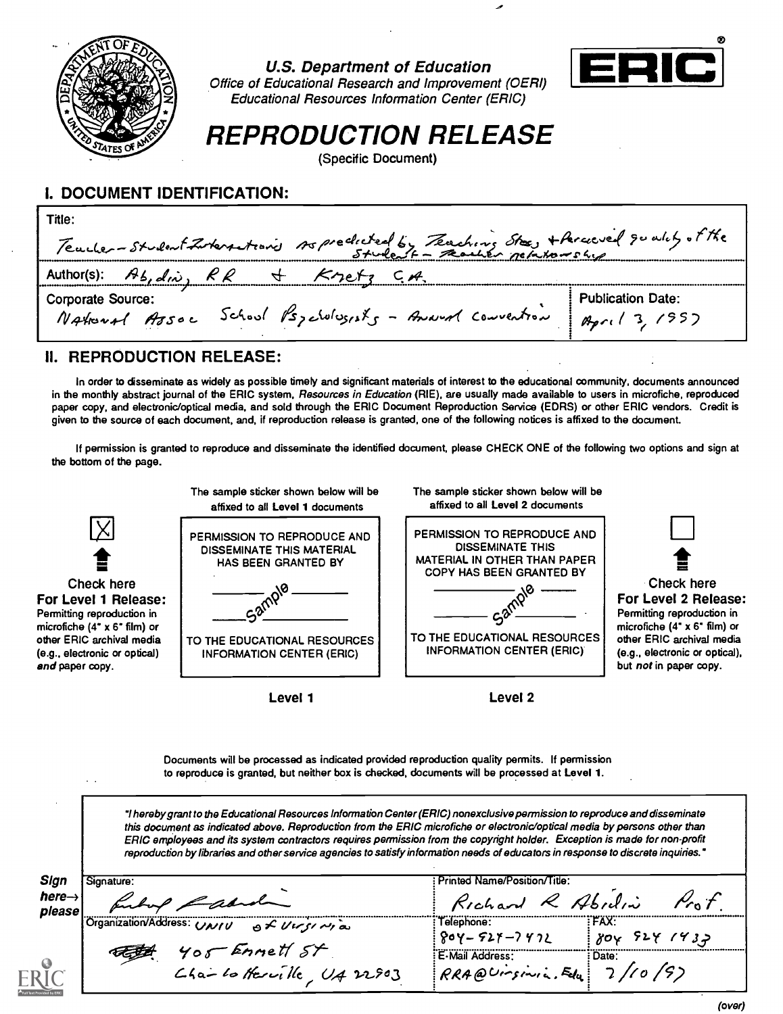

U.S. Department of Education



Office of Educational Research and Improvement (OERI) Educational Resources Information Center (ERIC)

# REPRODUCTION RELEASE

(Specific Document)

## I. DOCUMENT IDENTIFICATION:

| Title:<br>Teacher-student Interstance Aspectated by Teaching Stee, + Arcoved goodily of the      |                          |
|--------------------------------------------------------------------------------------------------|--------------------------|
| Author(s): $\mathcal{A}_{b,abc}$ , $\mathcal{K}_{R}$<br>$K$ retz                                 |                          |
| <b>Corporate Source:</b><br>National Assoc School Psychologists - Amend Convention April 3, 1957 | <b>Publication Date:</b> |

## II. REPRODUCTION RELEASE:

In order to disseminate as widely as possible timely and significant materials of interest to the educational community, documents announced in the monthly abstract journal of the ERIC system, Resources in Education (RIE), are usually made available to users in microfiche, reproduced paper copy, and electronic/optical media, and sold through the ERIC Document Reproduction Service (EDRS) or other ERIC vendors. Credit is given to the source of each document, and, if reproduction release is granted, one of the following notices is affixed to the document.

If permission is granted to reproduce and disseminate the identified document, please CHECK ONE of the following two options and sign at the bottom of the page.



Documents will be processed as indicated provided reproduction quality permits. If permission to reproduce is granted, but neither box is checked, documents will be processed at Level 1.

I hereby grant to the Educational Resources Information Center (ERIC) nonexclusive permission to reproduce and disseminate this document as indicated above. Reproduction from the ERIC microfiche or electronic/optical media by persons other than ERIC employees and its system contractors requires permission from the copyright holder. Exception is made for non-profit reproduction by libraries and other service agencies to satisfy information needs of educators in response to discrete inquiries."

| here $\rightarrow$<br>Richard R Abidin<br>please<br>(Organization/Address: UNIU<br>FAX:<br>Telephone:<br>$\frac{1}{2}$ $\frac{1}{2}$<br>5241432<br>$804 - 527 - 7972$<br>80v<br>Yor Ennett St<br>E-Mail Address:<br><u>rage</u><br>: Date:<br>110 /9)<br>$C$ ha-lo Herrille, $U_4$ 22903<br>RRA@Ursinia. Felu | Sign | Signature: | Printed Name/Position/Title: |  |
|---------------------------------------------------------------------------------------------------------------------------------------------------------------------------------------------------------------------------------------------------------------------------------------------------------------|------|------------|------------------------------|--|
|                                                                                                                                                                                                                                                                                                               |      |            |                              |  |
|                                                                                                                                                                                                                                                                                                               |      |            |                              |  |
|                                                                                                                                                                                                                                                                                                               |      |            |                              |  |